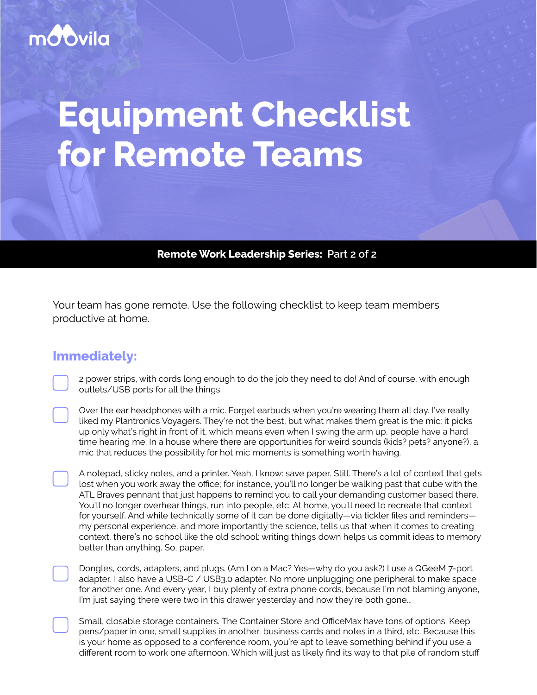## mo'ovila

# **Equipment Checklist for Remote Teams**

**Remote Work Leadership Series: Part 2 of 2**

Your team has gone remote. Use the following checklist to keep team members productive at home.

### **Immediately:**

2 power strips, with cords long enough to do the job they need to do! And of course, with enough outlets/USB ports for all the things.

Over the ear headphones with a mic. Forget earbuds when you're wearing them all day. I've really liked my Plantronics Voyagers. They're not the best, but what makes them great is the mic: it picks up only what's right in front of it, which means even when I swing the arm up, people have a hard time hearing me. In a house where there are opportunities for weird sounds (kids? pets? anyone?), a mic that reduces the possibility for hot mic moments is something worth having.

A notepad, sticky notes, and a printer. Yeah, I know: save paper. Still. There's a lot of context that gets lost when you work away the office; for instance, you'll no longer be walking past that cube with the ATL Braves pennant that just happens to remind you to call your demanding customer based there. You'll no longer overhear things, run into people, etc. At home, you'll need to recreate that context for yourself. And while technically some of it can be done digitally—via tickler files and reminders my personal experience, and more importantly the science, tells us that when it comes to creating context, there's no school like the old school: writing things down helps us commit ideas to memory better than anything. So, paper.

Dongles, cords, adapters, and plugs. (Am I on a Mac? Yes—why do you ask?) I use a QGeeM 7-port adapter. I also have a USB-C / USB3.0 adapter. No more unplugging one peripheral to make space for another one. And every year, I buy plenty of extra phone cords, because I'm not blaming anyone, I'm just saying there were two in this drawer yesterday and now they're both gone...

Small, closable storage containers. The Container Store and OfficeMax have tons of options. Keep pens/paper in one, small supplies in another, business cards and notes in a third, etc. Because this is your home as opposed to a conference room, you're apt to leave something behind if you use a different room to work one afternoon. Which will just as likely find its way to that pile of random stuff